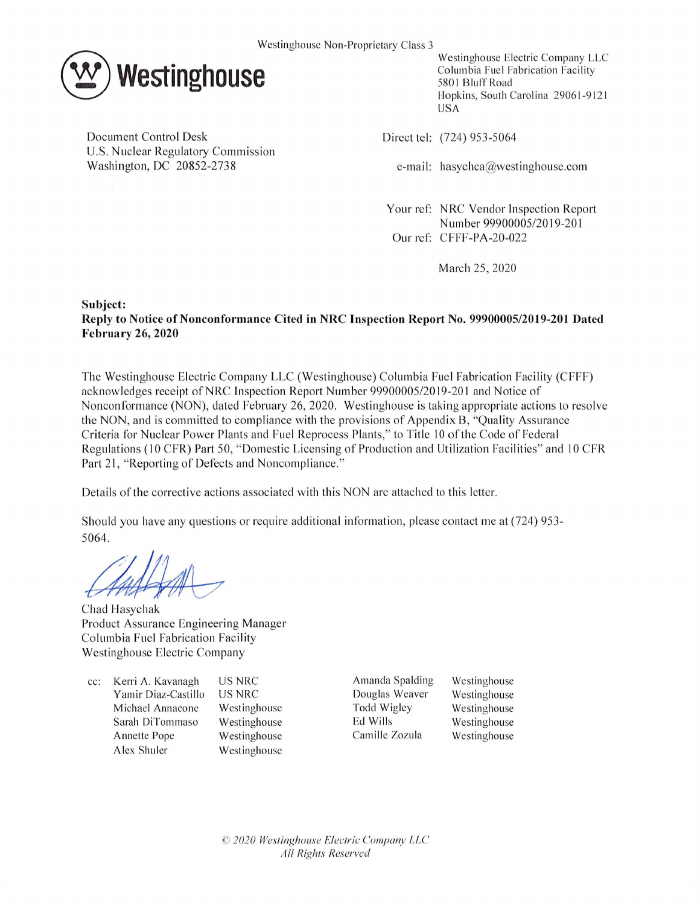

Document Control Desk U.S. Nuclear Regulatory Commission Washington, DC 20852-2738

Westinghouse Electric Company LLC Columbia Fuel Fabrication Facility 5801 Bluff Road Hopkins, South Carolina 29061-9121 USA

Direct tel: (724) 953-5064

e-mail: hasychca@westinghouse.com

Your ref: NRC Vendor Inspection Report Number 99900005/2019-20 I Our ref: CFFF-PA-20-022

March 25, 2020

#### **Subject: Reply to Notice of Nonconformance Cited in NRC Inspection Report No. 99900005/2019-201 Dated February 26, 2020**

The Westinghouse Electric Company LLC (Westinghouse) Columbia Fuel Fabrication Facility (CFFF) acknowledges receipt of NRC Inspection Report Number 99900005/2019-201 and Notice of Nonconformance (NON), dated February 26, 2020. Westinghouse is taking appropriate actions to resolve the NON, and is committed to compliance with the provisions of Appendix B, "Quality Assurance Criteria for Nuclear Power Plants and Fuel Reprocess Plants," to Title IO of the Code of Federa l Regulations (10 CFR) Part 50, "Domestic Licensing of Production and Utilization Facilities" and 10 CFR Part 21, "Reporting of Defects and Noncompliance."

Details of the corrective actions assoc iated with this NON are attached to this letter.

Should you have any questions or require additional information, please contact me at (724) 953- 5064.

Chad Hasychak Product Assurance Engineering Manager Columbia Fuel Fabrication Facility Westinghouse Electric Company

- cc: Kerri A. Kavanagh Yamir Diaz-Castillo Michael Annacone Sarah DiTommaso Annette Pope Alex Shuler
	- US NRC US NRC Westinghouse Westinghouse Westinghouse Westinghouse

Amanda Spalding Douglas Weaver Todd Wigley Ed Wills Camille Zozula

Westinghouse Westinghouse Westinghouse Westinghouse Westinghouse

© *2020 Westinghouse Electric Company LLC All Rights Reserved*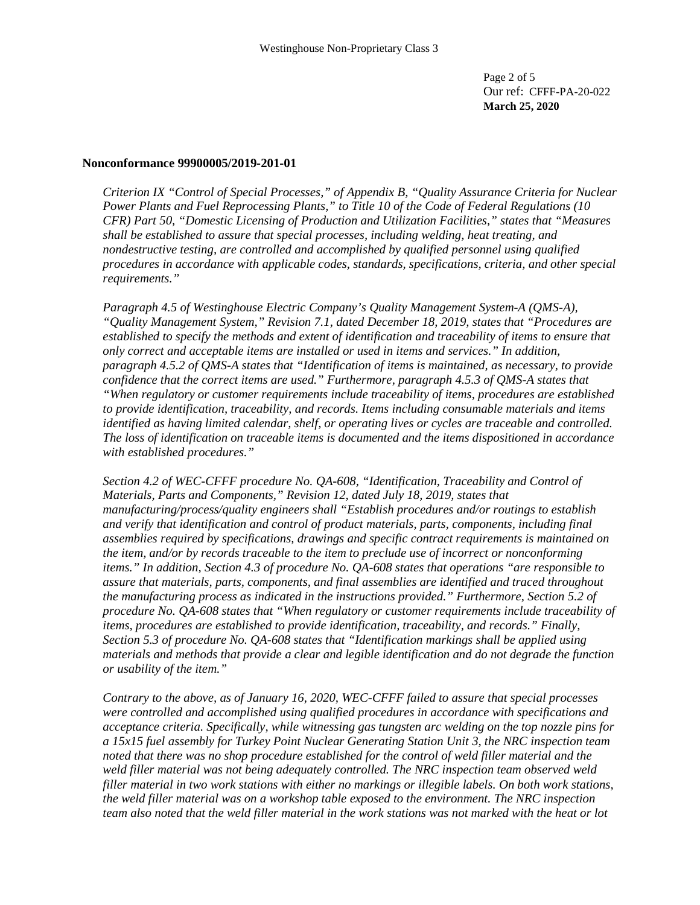Page 2 of 5 Our ref: CFFF-PA-20-022 **March 25, 2020**

#### **Nonconformance 99900005/2019-201-01**

*Criterion IX "Control of Special Processes," of Appendix B, "Quality Assurance Criteria for Nuclear Power Plants and Fuel Reprocessing Plants," to Title 10 of the Code of Federal Regulations (10 CFR) Part 50, "Domestic Licensing of Production and Utilization Facilities," states that "Measures shall be established to assure that special processes, including welding, heat treating, and nondestructive testing, are controlled and accomplished by qualified personnel using qualified procedures in accordance with applicable codes, standards, specifications, criteria, and other special requirements."* 

*Paragraph 4.5 of Westinghouse Electric Company's Quality Management System-A (QMS-A), "Quality Management System," Revision 7.1, dated December 18, 2019, states that "Procedures are established to specify the methods and extent of identification and traceability of items to ensure that only correct and acceptable items are installed or used in items and services." In addition, paragraph 4.5.2 of QMS-A states that "Identification of items is maintained, as necessary, to provide confidence that the correct items are used." Furthermore, paragraph 4.5.3 of QMS-A states that "When regulatory or customer requirements include traceability of items, procedures are established to provide identification, traceability, and records. Items including consumable materials and items identified as having limited calendar, shelf, or operating lives or cycles are traceable and controlled. The loss of identification on traceable items is documented and the items dispositioned in accordance with established procedures."* 

*Section 4.2 of WEC-CFFF procedure No. QA-608, "Identification, Traceability and Control of Materials, Parts and Components," Revision 12, dated July 18, 2019, states that manufacturing/process/quality engineers shall "Establish procedures and/or routings to establish and verify that identification and control of product materials, parts, components, including final assemblies required by specifications, drawings and specific contract requirements is maintained on the item, and/or by records traceable to the item to preclude use of incorrect or nonconforming items." In addition, Section 4.3 of procedure No. QA-608 states that operations "are responsible to assure that materials, parts, components, and final assemblies are identified and traced throughout the manufacturing process as indicated in the instructions provided." Furthermore, Section 5.2 of procedure No. QA-608 states that "When regulatory or customer requirements include traceability of items, procedures are established to provide identification, traceability, and records." Finally, Section 5.3 of procedure No. QA-608 states that "Identification markings shall be applied using materials and methods that provide a clear and legible identification and do not degrade the function or usability of the item."* 

*Contrary to the above, as of January 16, 2020, WEC-CFFF failed to assure that special processes were controlled and accomplished using qualified procedures in accordance with specifications and acceptance criteria. Specifically, while witnessing gas tungsten arc welding on the top nozzle pins for a 15x15 fuel assembly for Turkey Point Nuclear Generating Station Unit 3, the NRC inspection team noted that there was no shop procedure established for the control of weld filler material and the weld filler material was not being adequately controlled. The NRC inspection team observed weld filler material in two work stations with either no markings or illegible labels. On both work stations, the weld filler material was on a workshop table exposed to the environment. The NRC inspection team also noted that the weld filler material in the work stations was not marked with the heat or lot*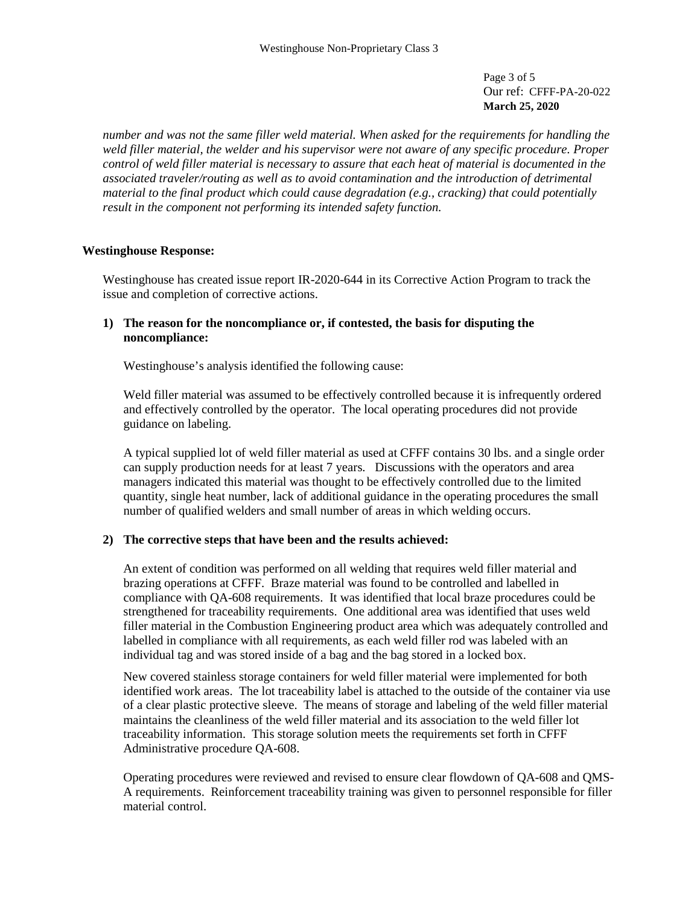Page 3 of 5 Our ref: CFFF-PA-20-022 **March 25, 2020**

*number and was not the same filler weld material. When asked for the requirements for handling the weld filler material, the welder and his supervisor were not aware of any specific procedure. Proper control of weld filler material is necessary to assure that each heat of material is documented in the associated traveler/routing as well as to avoid contamination and the introduction of detrimental material to the final product which could cause degradation (e.g., cracking) that could potentially result in the component not performing its intended safety function.*

# **Westinghouse Response:**

Westinghouse has created issue report IR-2020-644 in its Corrective Action Program to track the issue and completion of corrective actions.

## **1) The reason for the noncompliance or, if contested, the basis for disputing the noncompliance:**

Westinghouse's analysis identified the following cause:

Weld filler material was assumed to be effectively controlled because it is infrequently ordered and effectively controlled by the operator. The local operating procedures did not provide guidance on labeling.

A typical supplied lot of weld filler material as used at CFFF contains 30 lbs. and a single order can supply production needs for at least 7 years. Discussions with the operators and area managers indicated this material was thought to be effectively controlled due to the limited quantity, single heat number, lack of additional guidance in the operating procedures the small number of qualified welders and small number of areas in which welding occurs.

## **2) The corrective steps that have been and the results achieved:**

An extent of condition was performed on all welding that requires weld filler material and brazing operations at CFFF. Braze material was found to be controlled and labelled in compliance with QA-608 requirements. It was identified that local braze procedures could be strengthened for traceability requirements. One additional area was identified that uses weld filler material in the Combustion Engineering product area which was adequately controlled and labelled in compliance with all requirements, as each weld filler rod was labeled with an individual tag and was stored inside of a bag and the bag stored in a locked box.

New covered stainless storage containers for weld filler material were implemented for both identified work areas. The lot traceability label is attached to the outside of the container via use of a clear plastic protective sleeve. The means of storage and labeling of the weld filler material maintains the cleanliness of the weld filler material and its association to the weld filler lot traceability information. This storage solution meets the requirements set forth in CFFF Administrative procedure QA-608.

Operating procedures were reviewed and revised to ensure clear flowdown of QA-608 and QMS-A requirements. Reinforcement traceability training was given to personnel responsible for filler material control.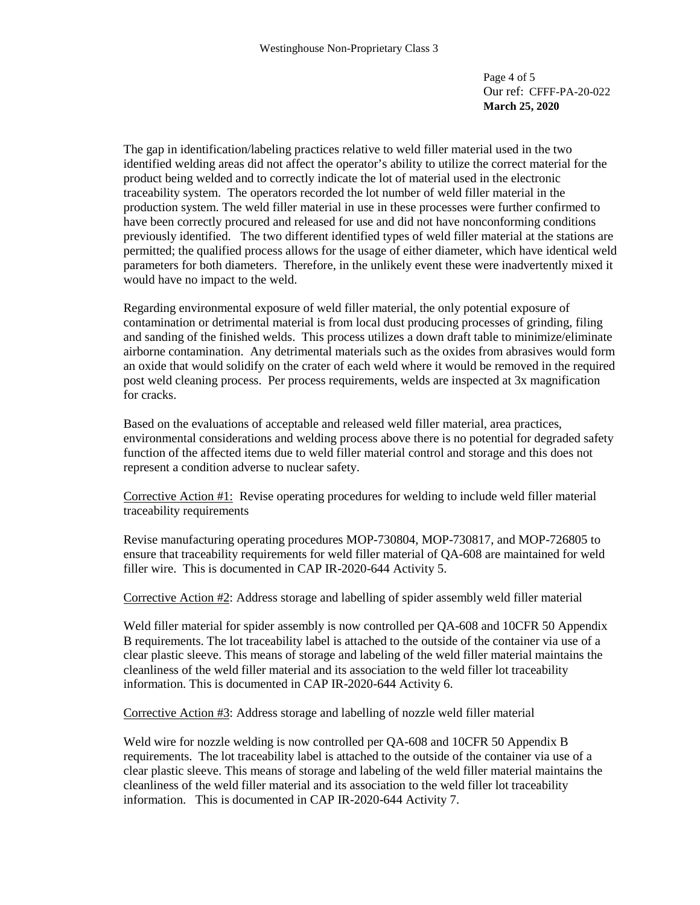Page 4 of 5 Our ref: CFFF-PA-20-022 **March 25, 2020**

The gap in identification/labeling practices relative to weld filler material used in the two identified welding areas did not affect the operator's ability to utilize the correct material for the product being welded and to correctly indicate the lot of material used in the electronic traceability system. The operators recorded the lot number of weld filler material in the production system. The weld filler material in use in these processes were further confirmed to have been correctly procured and released for use and did not have nonconforming conditions previously identified. The two different identified types of weld filler material at the stations are permitted; the qualified process allows for the usage of either diameter, which have identical weld parameters for both diameters. Therefore, in the unlikely event these were inadvertently mixed it would have no impact to the weld.

Regarding environmental exposure of weld filler material, the only potential exposure of contamination or detrimental material is from local dust producing processes of grinding, filing and sanding of the finished welds. This process utilizes a down draft table to minimize/eliminate airborne contamination. Any detrimental materials such as the oxides from abrasives would form an oxide that would solidify on the crater of each weld where it would be removed in the required post weld cleaning process. Per process requirements, welds are inspected at 3x magnification for cracks.

Based on the evaluations of acceptable and released weld filler material, area practices, environmental considerations and welding process above there is no potential for degraded safety function of the affected items due to weld filler material control and storage and this does not represent a condition adverse to nuclear safety.

Corrective Action #1: Revise operating procedures for welding to include weld filler material traceability requirements

Revise manufacturing operating procedures MOP-730804, MOP-730817, and MOP-726805 to ensure that traceability requirements for weld filler material of QA-608 are maintained for weld filler wire. This is documented in CAP IR-2020-644 Activity 5.

Corrective Action #2: Address storage and labelling of spider assembly weld filler material

Weld filler material for spider assembly is now controlled per QA-608 and 10CFR 50 Appendix B requirements. The lot traceability label is attached to the outside of the container via use of a clear plastic sleeve. This means of storage and labeling of the weld filler material maintains the cleanliness of the weld filler material and its association to the weld filler lot traceability information. This is documented in CAP IR-2020-644 Activity 6.

Corrective Action #3: Address storage and labelling of nozzle weld filler material

Weld wire for nozzle welding is now controlled per QA-608 and 10CFR 50 Appendix B requirements. The lot traceability label is attached to the outside of the container via use of a clear plastic sleeve. This means of storage and labeling of the weld filler material maintains the cleanliness of the weld filler material and its association to the weld filler lot traceability information. This is documented in CAP IR-2020-644 Activity 7.